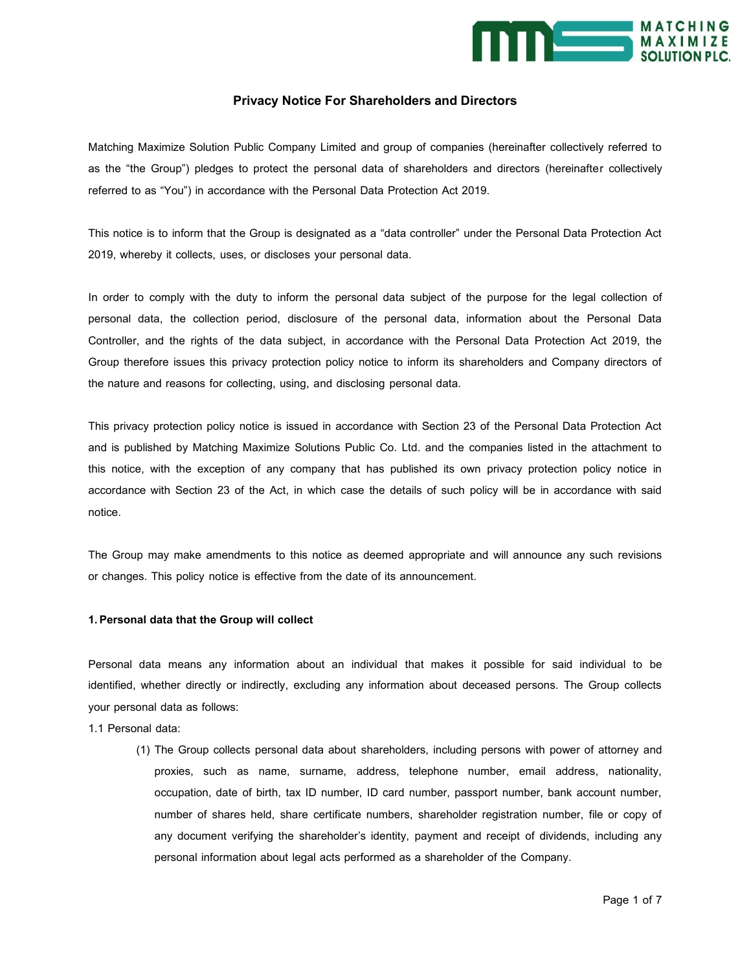

## **Privacy Notice For Shareholders and Directors**

Matching Maximize Solution Public Company Limited and group of companies (hereinafter collectively referred to as the "the Group") pledges to protect the personal data of shareholders and directors (hereinafter collectively referred to as "You") in accordance with the Personal Data Protection Act 2019.

This notice is to inform that the Group is designated as a "data controller" under the Personal Data Protection Act 2019, whereby it collects, uses, or discloses your personal data.

In order to comply with the duty to inform the personal data subject of the purpose for the legal collection of personal data, the collection period, disclosure of the personal data, information about the Personal Data Controller, and the rights of the data subject, in accordance with the Personal Data Protection Act 2019, the Group therefore issues this privacy protection policy notice to inform its shareholders and Company directors of the nature and reasons for collecting, using, and disclosing personal data.

This privacy protection policy notice is issued in accordance with Section 23 of the Personal Data Protection Act and is published by Matching Maximize Solutions Public Co. Ltd. and the companies listed in the attachment to this notice, with the exception of any company that has published its own privacy protection policy notice in accordance with Section 23 of the Act, in which case the details of such policy will be in accordance with said notice.

The Group may make amendments to this notice as deemed appropriate and will announce any such revisions or changes. This policy notice is effective from the date of its announcement.

#### **1. Personal data that the Group will collect**

Personal data means any information about an individual that makes it possible for said individual to be identified, whether directly or indirectly, excluding any information about deceased persons. The Group collects your personal data as follows:

1.1 Personal data:

(1) The Group collects personal data about shareholders, including persons with power of attorney and proxies, such as name, surname, address, telephone number, email address, nationality, occupation, date of birth, tax ID number, ID card number, passport number, bank account number, number of shares held, share certificate numbers, shareholder registration number, file or copy of any document verifying the shareholder's identity, payment and receipt of dividends, including any personal information about legal acts performed as a shareholder of the Company.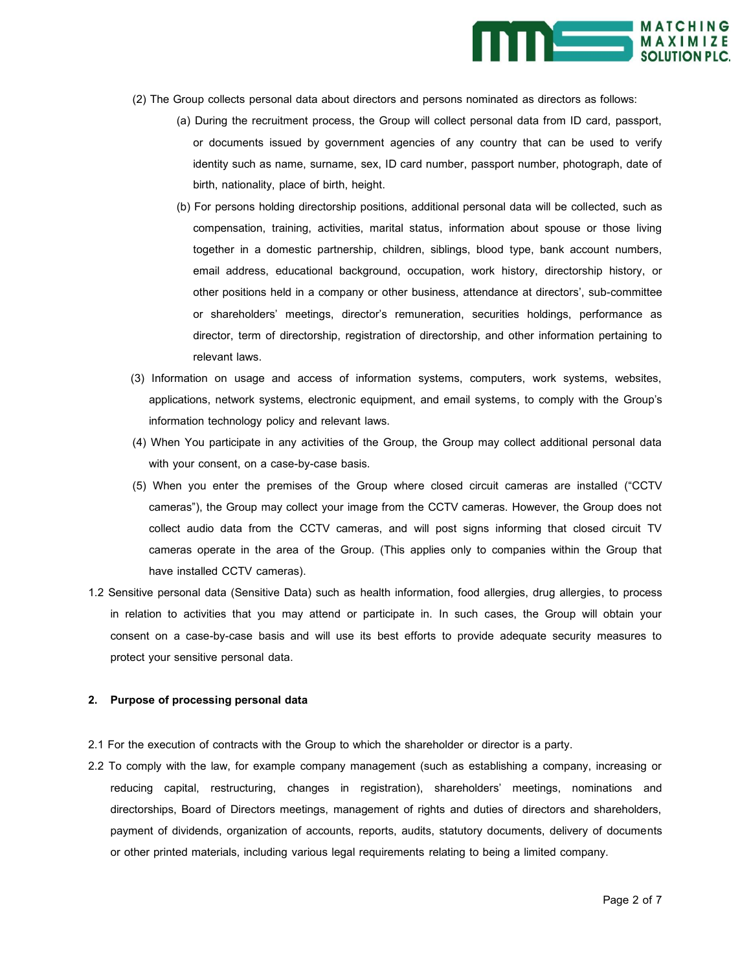

- (2) The Group collects personal data about directors and persons nominated as directors as follows:
	- (a) During the recruitment process, the Group will collect personal data from ID card, passport, or documents issued by government agencies of any country that can be used to verify identity such as name, surname, sex, ID card number, passport number, photograph, date of birth, nationality, place of birth, height.
	- (b) For persons holding directorship positions, additional personal data will be collected, such as compensation, training, activities, marital status, information about spouse or those living together in a domestic partnership, children, siblings, blood type, bank account numbers, email address, educational background, occupation, work history, directorship history, or other positions held in a company or other business, attendance at directors', sub-committee or shareholders' meetings, director's remuneration, securities holdings, performance as director, term of directorship, registration of directorship, and other information pertaining to relevant laws.
- (3) Information on usage and access of information systems, computers, work systems, websites, applications, network systems, electronic equipment, and email systems, to comply with the Group's information technology policy and relevant laws.
- (4) When You participate in any activities of the Group, the Group may collect additional personal data with your consent, on a case-by-case basis.
- (5) When you enter the premises of the Group where closed circuit cameras are installed ("CCTV cameras"), the Group may collect your image from the CCTV cameras. However, the Group does not collect audio data from the CCTV cameras, and will post signs informing that closed circuit TV cameras operate in the area of the Group. (This applies only to companies within the Group that have installed CCTV cameras).
- 1.2 Sensitive personal data (Sensitive Data) such as health information, food allergies, drug allergies, to process in relation to activities that you may attend or participate in. In such cases, the Group will obtain your consent on a case-by-case basis and will use its best efforts to provide adequate security measures to protect your sensitive personal data.

## **2. Purpose of processing personal data**

- 2.1 For the execution of contracts with the Group to which the shareholder or director is a party.
- 2.2 To comply with the law, for example company management (such as establishing a company, increasing or reducing capital, restructuring, changes in registration), shareholders' meetings, nominations and directorships, Board of Directors meetings, management of rights and duties of directors and shareholders, payment of dividends, organization of accounts, reports, audits, statutory documents, delivery of documents or other printed materials, including various legal requirements relating to being a limited company.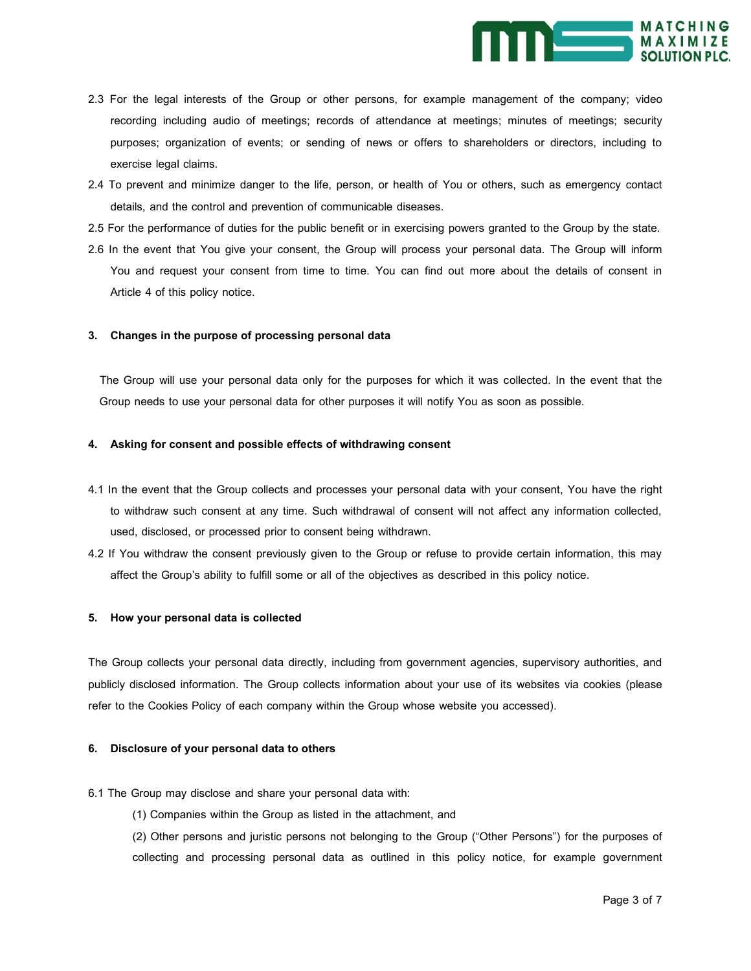

- 2.3 For the legal interests of the Group or other persons, for example management of the company; video recording including audio of meetings; records of attendance at meetings; minutes of meetings; security purposes; organization of events; or sending of news or offers to shareholders or directors, including to exercise legal claims.
- 2.4 To prevent and minimize danger to the life, person, or health of You or others, such as emergency contact details, and the control and prevention of communicable diseases.
- 2.5 For the performance of duties for the public benefit or in exercising powers granted to the Group by the state.
- 2.6 In the event that You give your consent, the Group will process your personal data. The Group will inform You and request your consent from time to time. You can find out more about the details of consent in Article 4 of this policy notice.

#### **3. Changes in the purpose of processing personal data**

 The Group will use your personal data only for the purposes for which it was collected. In the event that the Group needs to use your personal data for other purposes it will notify You as soon as possible.

## **4. Asking for consent and possible effects of withdrawing consent**

- 4.1 In the event that the Group collects and processes your personal data with your consent, You have the right to withdraw such consent at any time. Such withdrawal of consent will not affect any information collected, used, disclosed, or processed prior to consent being withdrawn.
- 4.2 If You withdraw the consent previously given to the Group or refuse to provide certain information, this may affect the Group's ability to fulfill some or all of the objectives as described in this policy notice.

#### **5. How your personal data is collected**

The Group collects your personal data directly, including from government agencies, supervisory authorities, and publicly disclosed information. The Group collects information about your use of its websites via cookies (please refer to the Cookies Policy of each company within the Group whose website you accessed).

## **6. Disclosure of your personal data to others**

6.1 The Group may disclose and share your personal data with:

- (1) Companies within the Group as listed in the attachment, and
- (2) Other persons and juristic persons not belonging to the Group ("Other Persons") for the purposes of collecting and processing personal data as outlined in this policy notice, for example government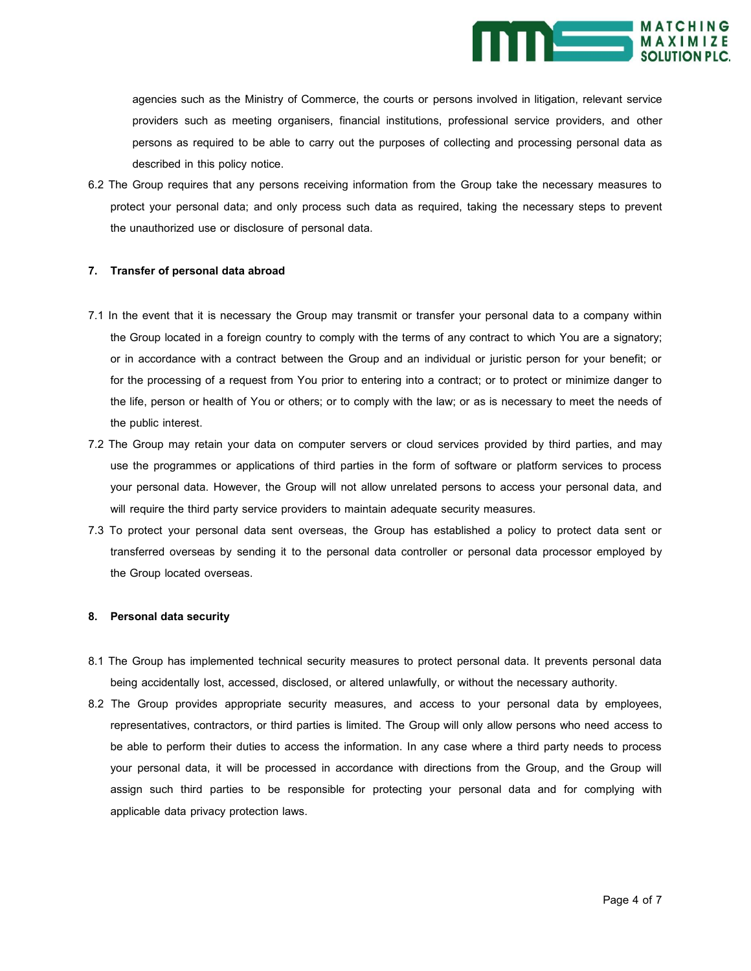

agencies such as the Ministry of Commerce, the courts or persons involved in litigation, relevant service providers such as meeting organisers, financial institutions, professional service providers, and other persons as required to be able to carry out the purposes of collecting and processing personal data as described in this policy notice.

6.2 The Group requires that any persons receiving information from the Group take the necessary measures to protect your personal data; and only process such data as required, taking the necessary steps to prevent the unauthorized use or disclosure of personal data.

## **7. Transfer of personal data abroad**

- 7.1 In the event that it is necessary the Group may transmit or transfer your personal data to a company within the Group located in a foreign country to comply with the terms of any contract to which You are a signatory; or in accordance with a contract between the Group and an individual or juristic person for your benefit; or for the processing of a request from You prior to entering into a contract; or to protect or minimize danger to the life, person or health of You or others; or to comply with the law; or as is necessary to meet the needs of the public interest.
- 7.2 The Group may retain your data on computer servers or cloud services provided by third parties, and may use the programmes or applications of third parties in the form of software or platform services to process your personal data. However, the Group will not allow unrelated persons to access your personal data, and will require the third party service providers to maintain adequate security measures.
- 7.3 To protect your personal data sent overseas, the Group has established a policy to protect data sent or transferred overseas by sending it to the personal data controller or personal data processor employed by the Group located overseas.

#### **8. Personal data security**

- 8.1 The Group has implemented technical security measures to protect personal data. It prevents personal data being accidentally lost, accessed, disclosed, or altered unlawfully, or without the necessary authority.
- 8.2 The Group provides appropriate security measures, and access to your personal data by employees, representatives, contractors, or third parties is limited. The Group will only allow persons who need access to be able to perform their duties to access the information. In any case where a third party needs to process your personal data, it will be processed in accordance with directions from the Group, and the Group will assign such third parties to be responsible for protecting your personal data and for complying with applicable data privacy protection laws.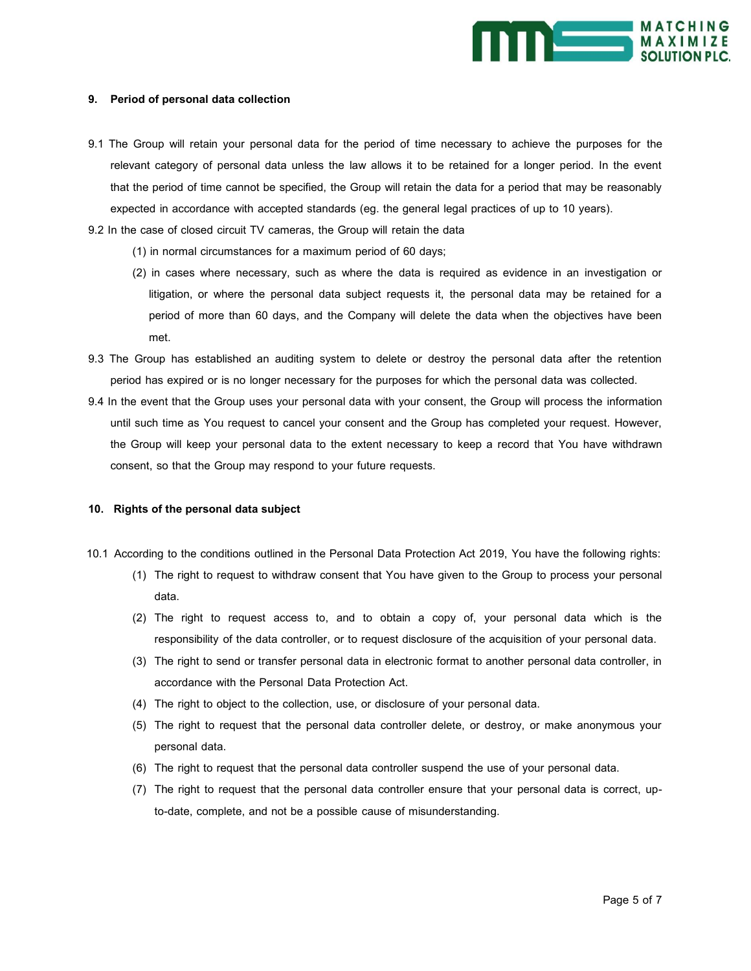

### **9. Period of personal data collection**

9.1 The Group will retain your personal data for the period of time necessary to achieve the purposes for the relevant category of personal data unless the law allows it to be retained for a longer period. In the event that the period of time cannot be specified, the Group will retain the data for a period that may be reasonably expected in accordance with accepted standards (eg. the general legal practices of up to 10 years).

9.2 In the case of closed circuit TV cameras, the Group will retain the data

- (1) in normal circumstances for a maximum period of 60 days;
- (2) in cases where necessary, such as where the data is required as evidence in an investigation or litigation, or where the personal data subject requests it, the personal data may be retained for a period of more than 60 days, and the Company will delete the data when the objectives have been met.
- 9.3 The Group has established an auditing system to delete or destroy the personal data after the retention period has expired or is no longer necessary for the purposes for which the personal data was collected.
- 9.4 In the event that the Group uses your personal data with your consent, the Group will process the information until such time as You request to cancel your consent and the Group has completed your request. However, the Group will keep your personal data to the extent necessary to keep a record that You have withdrawn consent, so that the Group may respond to your future requests.

#### **10. Rights of the personal data subject**

- 10.1 According to the conditions outlined in the Personal Data Protection Act 2019, You have the following rights:
	- (1) The right to request to withdraw consent that You have given to the Group to process your personal data.
	- (2) The right to request access to, and to obtain a copy of, your personal data which is the responsibility of the data controller, or to request disclosure of the acquisition of your personal data.
	- (3) The right to send or transfer personal data in electronic format to another personal data controller, in accordance with the Personal Data Protection Act.
	- (4) The right to object to the collection, use, or disclosure of your personal data.
	- (5) The right to request that the personal data controller delete, or destroy, or make anonymous your personal data.
	- (6) The right to request that the personal data controller suspend the use of your personal data.
	- (7) The right to request that the personal data controller ensure that your personal data is correct, upto-date, complete, and not be a possible cause of misunderstanding.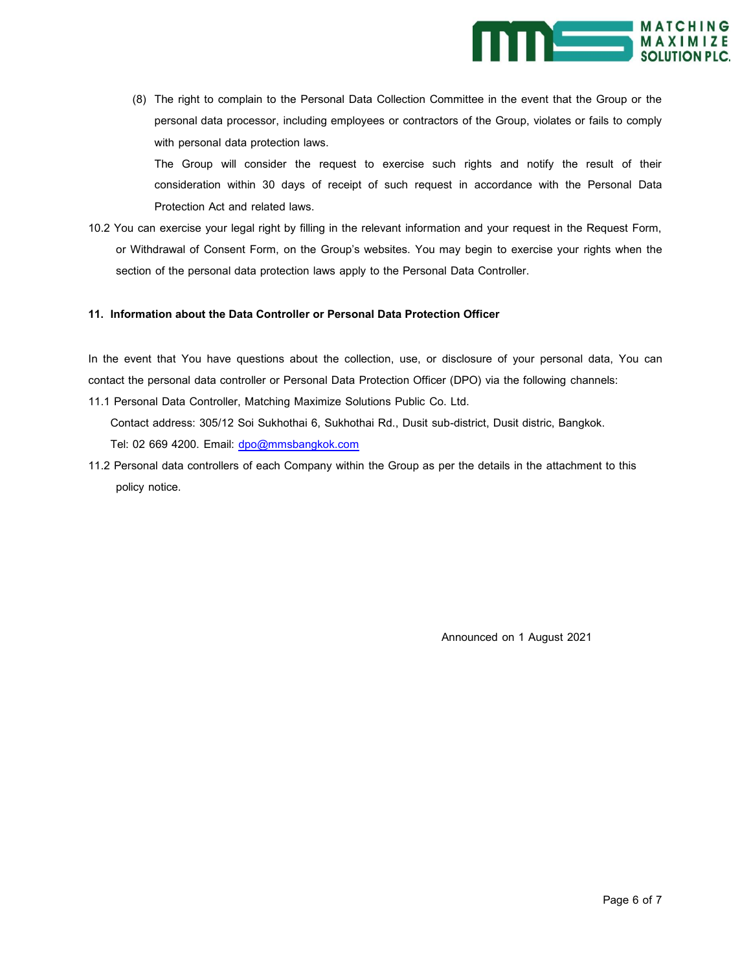

(8) The right to complain to the Personal Data Collection Committee in the event that the Group or the personal data processor, including employees or contractors of the Group, violates or fails to comply with personal data protection laws.

The Group will consider the request to exercise such rights and notify the result of their consideration within 30 days of receipt of such request in accordance with the Personal Data Protection Act and related laws.

10.2 You can exercise your legal right by filling in the relevant information and your request in the Request Form, or Withdrawal of Consent Form, on the Group's websites. You may begin to exercise your rights when the section of the personal data protection laws apply to the Personal Data Controller.

## **11. Information about the Data Controller or Personal Data Protection Officer**

In the event that You have questions about the collection, use, or disclosure of your personal data, You can contact the personal data controller or Personal Data Protection Officer (DPO) via the following channels: 11.1 Personal Data Controller, Matching Maximize Solutions Public Co. Ltd.

Contact address: 305/12 Soi Sukhothai 6, Sukhothai Rd., Dusit sub-district, Dusit distric, Bangkok. Tel: 02 669 4200. Email: [dpo@mmsbangkok.com](mailto:dpo@mmsbangkok.com)

11.2 Personal data controllers of each Company within the Group as per the details in the attachment to this policy notice.

Announced on 1 August 2021